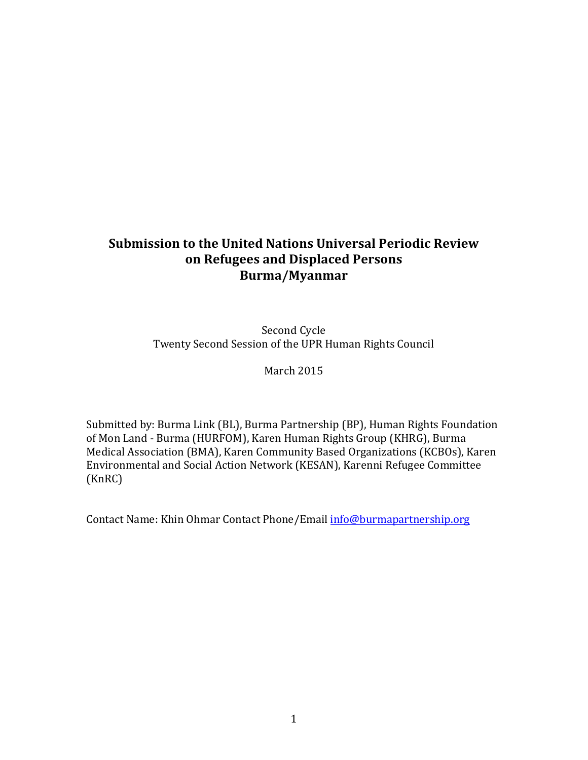# **Submission to the United Nations Universal Periodic Review on Refugees and Displaced Persons Burma/Myanmar**

Second Cycle Twenty Second Session of the UPR Human Rights Council

March 2015

Submitted by: Burma Link (BL), Burma Partnership (BP), Human Rights Foundation of Mon Land - Burma (HURFOM), Karen Human Rights Group (KHRG), Burma Medical Association (BMA), Karen Community Based Organizations (KCBOs), Karen Environmental and Social Action Network (KESAN), Karenni Refugee Committee (KnRC)

Contact Name: Khin Ohmar Contact Phone/Email info@burmapartnership.org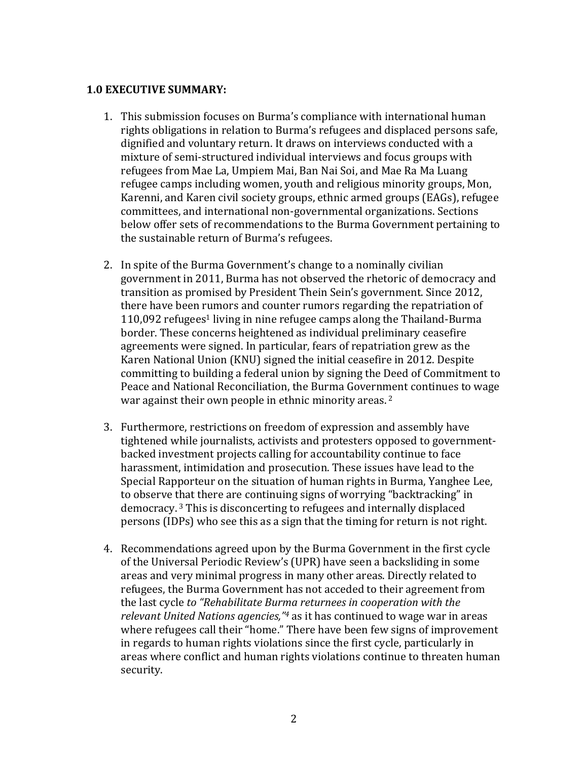#### **1.0 EXECUTIVE SUMMARY:**

- 1. This submission focuses on Burma's compliance with international human rights obligations in relation to Burma's refugees and displaced persons safe, dignified and voluntary return. It draws on interviews conducted with a mixture of semi-structured individual interviews and focus groups with refugees from Mae La, Umpiem Mai, Ban Nai Soi, and Mae Ra Ma Luang refugee camps including women, youth and religious minority groups, Mon, Karenni, and Karen civil society groups, ethnic armed groups (EAGs), refugee committees, and international non-governmental organizations. Sections below offer sets of recommendations to the Burma Government pertaining to the sustainable return of Burma's refugees.
- 2. In spite of the Burma Government's change to a nominally civilian government in 2011, Burma has not observed the rhetoric of democracy and transition as promised by President Thein Sein's government. Since 2012, there have been rumors and counter rumors regarding the repatriation of  $110,092$  refugees<sup>1</sup> living in nine refugee camps along the Thailand-Burma border. These concerns heightened as individual preliminary ceasefire agreements were signed. In particular, fears of repatriation grew as the Karen National Union (KNU) signed the initial ceasefire in 2012. Despite committing to building a federal union by signing the Deed of Commitment to Peace and National Reconciliation, the Burma Government continues to wage war against their own people in ethnic minority areas.  $2^2$
- 3. Furthermore, restrictions on freedom of expression and assembly have tightened while journalists, activists and protesters opposed to governmentbacked investment projects calling for accountability continue to face harassment, intimidation and prosecution. These issues have lead to the Special Rapporteur on the situation of human rights in Burma, Yanghee Lee, to observe that there are continuing signs of worrying "backtracking" in democracy.<sup>3</sup> This is disconcerting to refugees and internally displaced persons (IDPs) who see this as a sign that the timing for return is not right.
- 4. Recommendations agreed upon by the Burma Government in the first cycle of the Universal Periodic Review's (UPR) have seen a backsliding in some areas and very minimal progress in many other areas. Directly related to refugees, the Burma Government has not acceded to their agreement from the last cycle to "Rehabilitate Burma returnees in cooperation with the *relevant United Nations agencies,"<sup>4</sup>* as it has continued to wage war in areas where refugees call their "home." There have been few signs of improvement in regards to human rights violations since the first cycle, particularly in areas where conflict and human rights violations continue to threaten human security.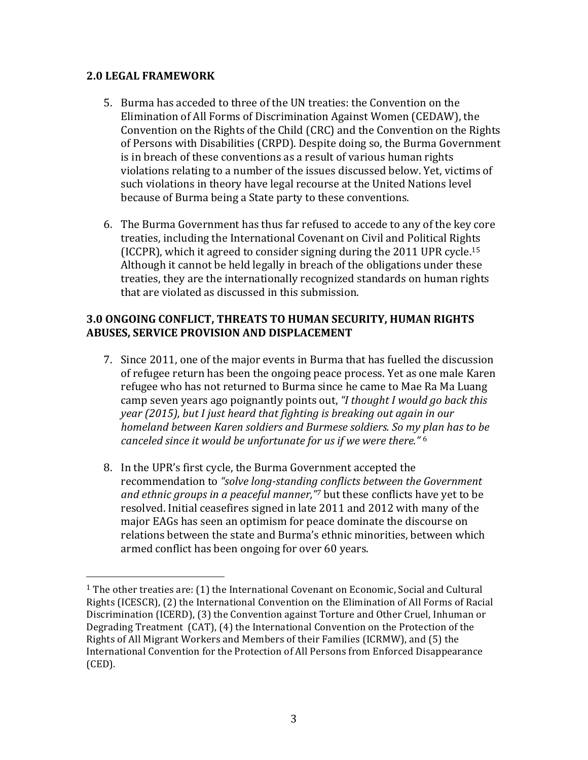#### **2.0 LEGAL FRAMEWORK**

 

- 5. Burma has acceded to three of the UN treaties: the Convention on the Elimination of All Forms of Discrimination Against Women (CEDAW), the Convention on the Rights of the Child (CRC) and the Convention on the Rights of Persons with Disabilities (CRPD). Despite doing so, the Burma Government is in breach of these conventions as a result of various human rights violations relating to a number of the issues discussed below. Yet, victims of such violations in theory have legal recourse at the United Nations level because of Burma being a State party to these conventions.
- 6. The Burma Government has thus far refused to accede to any of the key core treaties, including the International Covenant on Civil and Political Rights (ICCPR), which it agreed to consider signing during the 2011 UPR cycle.<sup>15</sup> Although it cannot be held legally in breach of the obligations under these treaties, they are the internationally recognized standards on human rights that are violated as discussed in this submission.

### **3.0 ONGOING CONFLICT, THREATS TO HUMAN SECURITY, HUMAN RIGHTS ABUSES, SERVICE PROVISION AND DISPLACEMENT**

- 7. Since 2011, one of the major events in Burma that has fuelled the discussion of refugee return has been the ongoing peace process. Yet as one male Karen refugee who has not returned to Burma since he came to Mae Ra Ma Luang camp seven years ago poignantly points out, "I thought I would go back this *year* (2015), but I just heard that fighting is breaking out again in our *homeland between Karen soldiers and Burmese soldiers. So my plan has to be canceled since it would be unfortunate for us if we were there."* <sup>6</sup>
- 8. In the UPR's first cycle, the Burma Government accepted the recommendation to "solve long-standing conflicts between the Government *and ethnic groups in a peaceful manner*,"<sup>7</sup> but these conflicts have yet to be resolved. Initial ceasefires signed in late 2011 and 2012 with many of the major EAGs has seen an optimism for peace dominate the discourse on relations between the state and Burma's ethnic minorities, between which armed conflict has been ongoing for over 60 years.

<sup>&</sup>lt;sup>1</sup> The other treaties are: (1) the International Covenant on Economic, Social and Cultural Rights (ICESCR), (2) the International Convention on the Elimination of All Forms of Racial Discrimination (ICERD), (3) the Convention against Torture and Other Cruel, Inhuman or Degrading Treatment  $(CAT)$ ,  $(4)$  the International Convention on the Protection of the Rights of All Migrant Workers and Members of their Families (ICRMW), and (5) the International Convention for the Protection of All Persons from Enforced Disappearance (CED).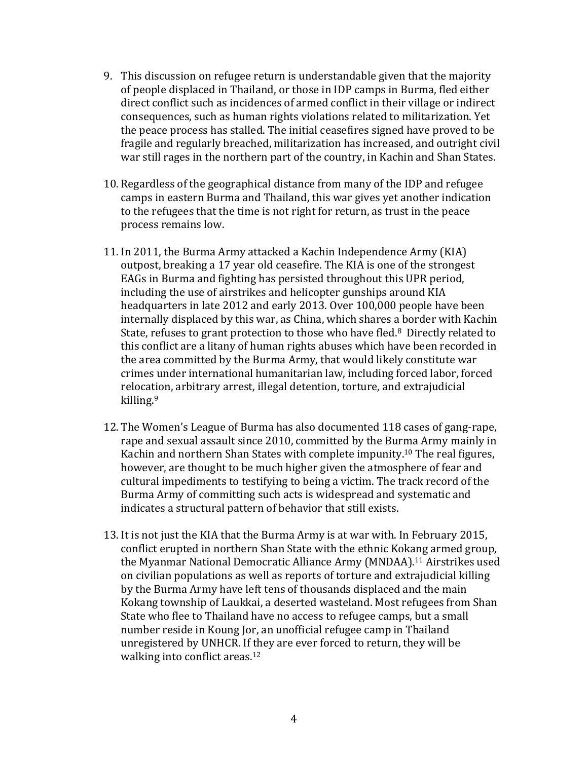- 9. This discussion on refugee return is understandable given that the majority of people displaced in Thailand, or those in IDP camps in Burma, fled either direct conflict such as incidences of armed conflict in their village or indirect consequences, such as human rights violations related to militarization. Yet the peace process has stalled. The initial ceasefires signed have proved to be fragile and regularly breached, militarization has increased, and outright civil war still rages in the northern part of the country, in Kachin and Shan States.
- 10. Regardless of the geographical distance from many of the IDP and refugee camps in eastern Burma and Thailand, this war gives yet another indication to the refugees that the time is not right for return, as trust in the peace process remains low.
- 11. In 2011, the Burma Army attacked a Kachin Independence Army (KIA) outpost, breaking a 17 year old ceasefire. The KIA is one of the strongest EAGs in Burma and fighting has persisted throughout this UPR period, including the use of airstrikes and helicopter gunships around KIA headquarters in late 2012 and early 2013. Over 100,000 people have been internally displaced by this war, as China, which shares a border with Kachin State, refuses to grant protection to those who have fled. $8$  Directly related to this conflict are a litany of human rights abuses which have been recorded in the area committed by the Burma Army, that would likely constitute war crimes under international humanitarian law, including forced labor, forced relocation, arbitrary arrest, illegal detention, torture, and extrajudicial killing.<sup>9</sup>
- 12. The Women's League of Burma has also documented 118 cases of gang-rape, rape and sexual assault since 2010, committed by the Burma Army mainly in Kachin and northern Shan States with complete impunity.<sup>10</sup> The real figures, however, are thought to be much higher given the atmosphere of fear and cultural impediments to testifying to being a victim. The track record of the Burma Army of committing such acts is widespread and systematic and indicates a structural pattern of behavior that still exists.
- 13. It is not just the KIA that the Burma Army is at war with. In February 2015, conflict erupted in northern Shan State with the ethnic Kokang armed group, the Myanmar National Democratic Alliance Army (MNDAA).<sup>11</sup> Airstrikes used on civilian populations as well as reports of torture and extrajudicial killing by the Burma Army have left tens of thousands displaced and the main Kokang township of Laukkai, a deserted wasteland. Most refugees from Shan State who flee to Thailand have no access to refugee camps, but a small number reside in Koung Jor, an unofficial refugee camp in Thailand unregistered by UNHCR. If they are ever forced to return, they will be walking into conflict areas. $12$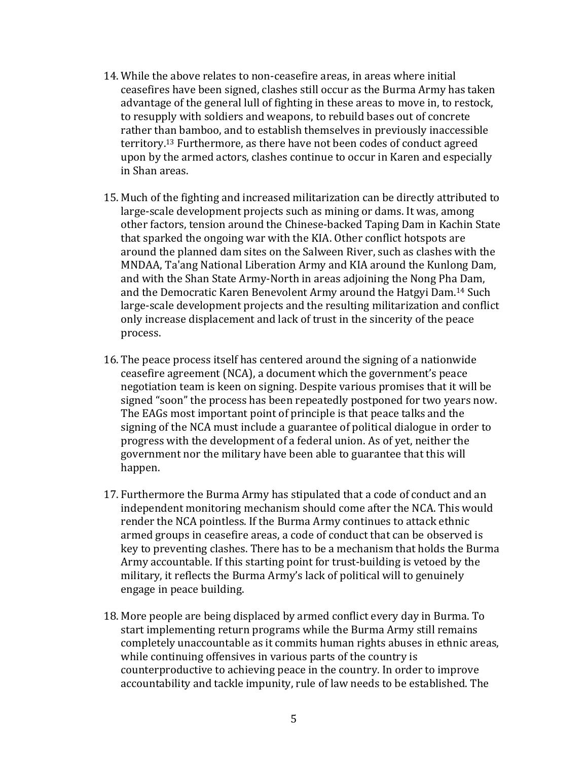- 14. While the above relates to non-ceasefire areas, in areas where initial ceasefires have been signed, clashes still occur as the Burma Army has taken advantage of the general lull of fighting in these areas to move in, to restock, to resupply with soldiers and weapons, to rebuild bases out of concrete rather than bamboo, and to establish themselves in previously inaccessible territory.<sup>13</sup> Furthermore, as there have not been codes of conduct agreed upon by the armed actors, clashes continue to occur in Karen and especially in Shan areas.
- 15. Much of the fighting and increased militarization can be directly attributed to large-scale development projects such as mining or dams. It was, among other factors, tension around the Chinese-backed Taping Dam in Kachin State that sparked the ongoing war with the KIA. Other conflict hotspots are around the planned dam sites on the Salween River, such as clashes with the MNDAA, Ta'ang National Liberation Army and KIA around the Kunlong Dam, and with the Shan State Army-North in areas adjoining the Nong Pha Dam, and the Democratic Karen Benevolent Army around the Hatgyi Dam.<sup>14</sup> Such large-scale development projects and the resulting militarization and conflict only increase displacement and lack of trust in the sincerity of the peace process.
- 16. The peace process itself has centered around the signing of a nationwide ceasefire agreement (NCA), a document which the government's peace negotiation team is keen on signing. Despite various promises that it will be signed "soon" the process has been repeatedly postponed for two years now. The EAGs most important point of principle is that peace talks and the signing of the NCA must include a guarantee of political dialogue in order to progress with the development of a federal union. As of yet, neither the government nor the military have been able to guarantee that this will happen.
- 17. Furthermore the Burma Army has stipulated that a code of conduct and an independent monitoring mechanism should come after the NCA. This would render the NCA pointless. If the Burma Army continues to attack ethnic armed groups in ceasefire areas, a code of conduct that can be observed is key to preventing clashes. There has to be a mechanism that holds the Burma Army accountable. If this starting point for trust-building is vetoed by the military, it reflects the Burma Army's lack of political will to genuinely engage in peace building.
- 18. More people are being displaced by armed conflict every day in Burma. To start implementing return programs while the Burma Army still remains completely unaccountable as it commits human rights abuses in ethnic areas, while continuing offensives in various parts of the country is counterproductive to achieving peace in the country. In order to improve accountability and tackle impunity, rule of law needs to be established. The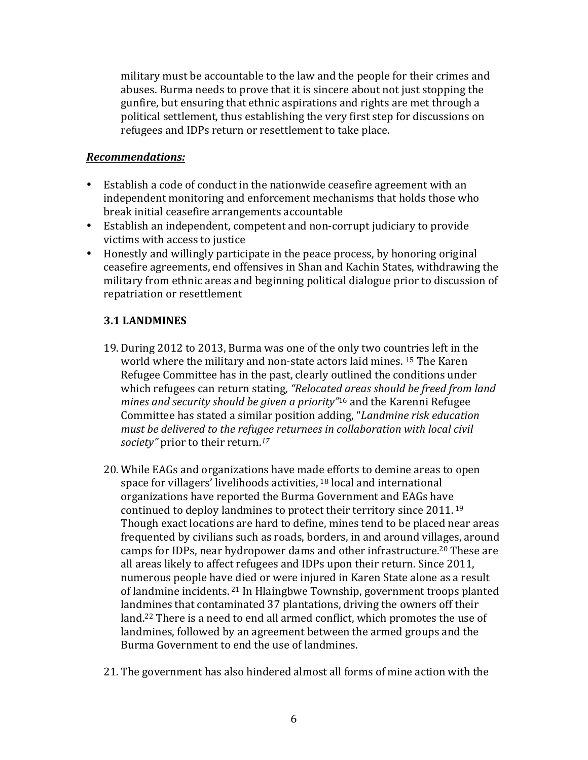military must be accountable to the law and the people for their crimes and abuses. Burma needs to prove that it is sincere about not just stopping the gunfire, but ensuring that ethnic aspirations and rights are met through a political settlement, thus establishing the very first step for discussions on refugees and IDPs return or resettlement to take place.

#### *Recommendations:*

- Establish a code of conduct in the nationwide ceasefire agreement with an independent monitoring and enforcement mechanisms that holds those who break initial ceasefire arrangements accountable
- Establish an independent, competent and non-corrupt judiciary to provide victims with access to justice
- Honestly and willingly participate in the peace process, by honoring original ceasefire agreements, end offensives in Shan and Kachin States, withdrawing the military from ethnic areas and beginning political dialogue prior to discussion of repatriation or resettlement

# **3.1 LANDMINES**

- 19. During 2012 to 2013, Burma was one of the only two countries left in the world where the military and non-state actors laid mines. <sup>15</sup> The Karen Refugee Committee has in the past, clearly outlined the conditions under which refugees can return stating, "Relocated areas should be freed from land *mines and security should be aiven a priority*<sup>"16</sup> and the Karenni Refugee Committee has stated a similar position adding, "Landmine risk education must be delivered to the refugee returnees in collaboration with local civil society" prior to their return.<sup>17</sup>
- 20. While EAGs and organizations have made efforts to demine areas to open space for villagers' livelihoods activities,  $18$  local and international organizations have reported the Burma Government and EAGs have continued to deploy landmines to protect their territory since  $2011$ . <sup>19</sup> Though exact locations are hard to define, mines tend to be placed near areas frequented by civilians such as roads, borders, in and around villages, around camps for IDPs, near hydropower dams and other infrastructure.<sup>20</sup> These are all areas likely to affect refugees and IDPs upon their return. Since 2011, numerous people have died or were injured in Karen State alone as a result of landmine incidents. <sup>21</sup> In Hlaingbwe Township, government troops planted landmines that contaminated 37 plantations, driving the owners off their land.<sup>22</sup> There is a need to end all armed conflict, which promotes the use of landmines, followed by an agreement between the armed groups and the Burma Government to end the use of landmines.
- 21. The government has also hindered almost all forms of mine action with the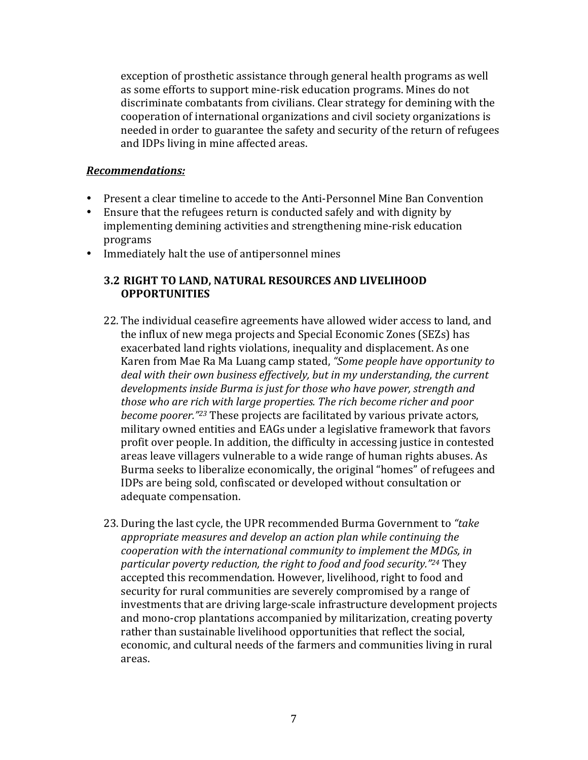exception of prosthetic assistance through general health programs as well as some efforts to support mine-risk education programs. Mines do not discriminate combatants from civilians. Clear strategy for demining with the cooperation of international organizations and civil society organizations is needed in order to guarantee the safety and security of the return of refugees and IDPs living in mine affected areas.

#### *Recommendations:*

- Present a clear timeline to accede to the Anti-Personnel Mine Ban Convention
- Ensure that the refugees return is conducted safely and with dignity by implementing demining activities and strengthening mine-risk education programs
- Immediately halt the use of antipersonnel mines

# **3.2 RIGHT TO LAND, NATURAL RESOURCES AND LIVELIHOOD OPPORTUNITIES**

- 22. The individual ceasefire agreements have allowed wider access to land, and the influx of new mega projects and Special Economic Zones (SEZs) has exacerbated land rights violations, inequality and displacement. As one Karen from Mae Ra Ma Luang camp stated, "Some people have opportunity to deal with their own business effectively, but in my understanding, the current *developments* inside Burma is just for those who have power, strength and *those* who are rich with large properties. The rich become richer and poor *become poorer."<sup>23</sup>* These projects are facilitated by various private actors, military owned entities and EAGs under a legislative framework that favors profit over people. In addition, the difficulty in accessing justice in contested areas leave villagers vulnerable to a wide range of human rights abuses. As Burma seeks to liberalize economically, the original "homes" of refugees and IDPs are being sold, confiscated or developed without consultation or adequate compensation.
- 23. During the last cycle, the UPR recommended Burma Government to "take" appropriate measures and develop an action plan while continuing the *cooperation with the international community to implement the MDGs, in* particular poverty reduction, the right to food and food security."<sup>24</sup> They accepted this recommendation. However, livelihood, right to food and security for rural communities are severely compromised by a range of investments that are driving large-scale infrastructure development projects and mono-crop plantations accompanied by militarization, creating poverty rather than sustainable livelihood opportunities that reflect the social, economic, and cultural needs of the farmers and communities living in rural areas.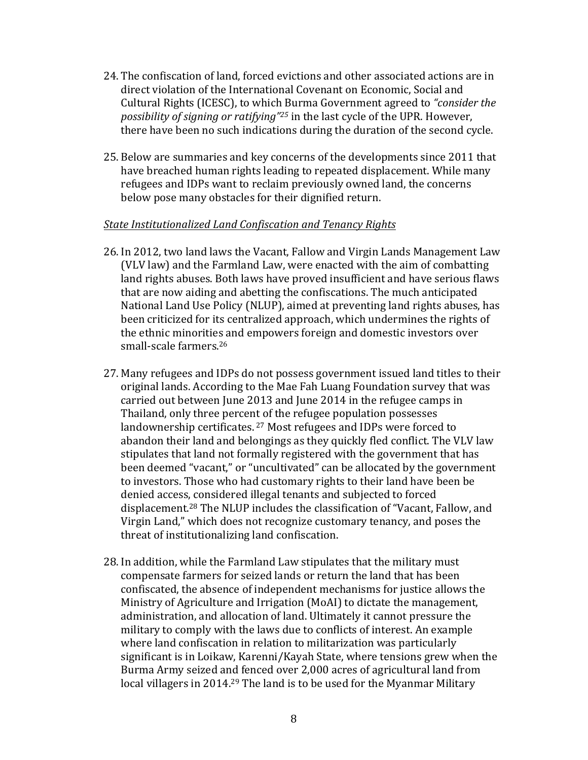- 24. The confiscation of land, forced evictions and other associated actions are in direct violation of the International Covenant on Economic, Social and Cultural Rights (ICESC), to which Burma Government agreed to *"consider the possibility of signing or ratifying*<sup>"25</sup> in the last cycle of the UPR. However, there have been no such indications during the duration of the second cycle.
- 25. Below are summaries and key concerns of the developments since 2011 that have breached human rights leading to repeated displacement. While many refugees and IDPs want to reclaim previously owned land, the concerns below pose many obstacles for their dignified return.

#### State Institutionalized Land Confiscation and Tenancy Rights

- 26. In 2012, two land laws the Vacant, Fallow and Virgin Lands Management Law (VLV law) and the Farmland Law, were enacted with the aim of combatting land rights abuses. Both laws have proved insufficient and have serious flaws that are now aiding and abetting the confiscations. The much anticipated National Land Use Policy (NLUP), aimed at preventing land rights abuses, has been criticized for its centralized approach, which undermines the rights of the ethnic minorities and empowers foreign and domestic investors over small-scale farmers.<sup>26</sup>
- 27. Many refugees and IDPs do not possess government issued land titles to their original lands. According to the Mae Fah Luang Foundation survey that was carried out between June 2013 and June 2014 in the refugee camps in Thailand, only three percent of the refugee population possesses landownership certificates.<sup>27</sup> Most refugees and IDPs were forced to abandon their land and belongings as they quickly fled conflict. The VLV law stipulates that land not formally registered with the government that has been deemed "vacant," or "uncultivated" can be allocated by the government to investors. Those who had customary rights to their land have been be denied access, considered illegal tenants and subjected to forced displacement.<sup>28</sup> The NLUP includes the classification of "Vacant, Fallow, and Virgin Land," which does not recognize customary tenancy, and poses the threat of institutionalizing land confiscation.
- 28. In addition, while the Farmland Law stipulates that the military must compensate farmers for seized lands or return the land that has been confiscated, the absence of independent mechanisms for justice allows the Ministry of Agriculture and Irrigation (MoAI) to dictate the management, administration, and allocation of land. Ultimately it cannot pressure the military to comply with the laws due to conflicts of interest. An example where land confiscation in relation to militarization was particularly significant is in Loikaw, Karenni/Kayah State, where tensions grew when the Burma Army seized and fenced over 2,000 acres of agricultural land from local villagers in 2014.<sup>29</sup> The land is to be used for the Myanmar Military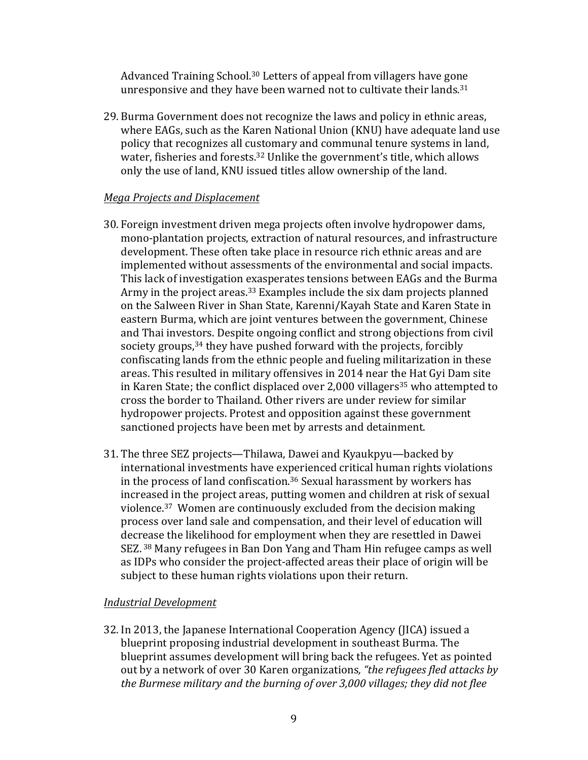Advanced Training School.<sup>30</sup> Letters of appeal from villagers have gone unresponsive and they have been warned not to cultivate their lands. $31$ 

29. Burma Government does not recognize the laws and policy in ethnic areas, where EAGs, such as the Karen National Union (KNU) have adequate land use policy that recognizes all customary and communal tenure systems in land, water, fisheries and forests.<sup>32</sup> Unlike the government's title, which allows only the use of land, KNU issued titles allow ownership of the land.

### *Mega Projects and Displacement*

- 30. Foreign investment driven mega projects often involve hydropower dams, mono-plantation projects, extraction of natural resources, and infrastructure development. These often take place in resource rich ethnic areas and are implemented without assessments of the environmental and social impacts. This lack of investigation exasperates tensions between EAGs and the Burma Army in the project areas.<sup>33</sup> Examples include the six dam projects planned on the Salween River in Shan State, Karenni/Kayah State and Karen State in eastern Burma, which are joint ventures between the government, Chinese and Thai investors. Despite ongoing conflict and strong objections from civil society groups,<sup>34</sup> they have pushed forward with the projects, forcibly confiscating lands from the ethnic people and fueling militarization in these areas. This resulted in military offensives in 2014 near the Hat Gyi Dam site in Karen State; the conflict displaced over 2,000 villagers<sup>35</sup> who attempted to cross the border to Thailand. Other rivers are under review for similar hydropower projects. Protest and opposition against these government sanctioned projects have been met by arrests and detainment.
- 31. The three SEZ projects—Thilawa, Dawei and Kyaukpyu—backed by international investments have experienced critical human rights violations in the process of land confiscation.<sup>36</sup> Sexual harassment by workers has increased in the project areas, putting women and children at risk of sexual violence.<sup>37</sup> Women are continuously excluded from the decision making process over land sale and compensation, and their level of education will decrease the likelihood for employment when they are resettled in Dawei SEZ.<sup>38</sup> Many refugees in Ban Don Yang and Tham Hin refugee camps as well as IDPs who consider the project-affected areas their place of origin will be subject to these human rights violations upon their return.

# *Industrial Development*

32. In 2013, the Japanese International Cooperation Agency (JICA) issued a blueprint proposing industrial development in southeast Burma. The blueprint assumes development will bring back the refugees. Yet as pointed out by a network of over 30 Karen organizations, "the refugees fled attacks by *the Burmese military and the burning of over 3,000 villages; they did not flee*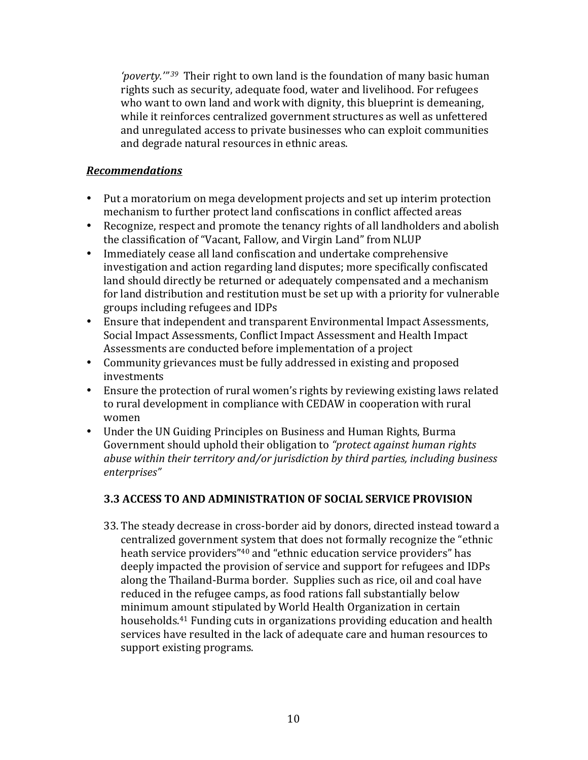'poverty.<sup>'"39</sup> Their right to own land is the foundation of many basic human rights such as security, adequate food, water and livelihood. For refugees who want to own land and work with dignity, this blueprint is demeaning, while it reinforces centralized government structures as well as unfettered and unregulated access to private businesses who can exploit communities and degrade natural resources in ethnic areas.

### *Recommendations*

- Put a moratorium on mega development projects and set up interim protection mechanism to further protect land confiscations in conflict affected areas
- Recognize, respect and promote the tenancy rights of all landholders and abolish the classification of "Vacant, Fallow, and Virgin Land" from NLUP
- Immediately cease all land confiscation and undertake comprehensive investigation and action regarding land disputes; more specifically confiscated land should directly be returned or adequately compensated and a mechanism for land distribution and restitution must be set up with a priority for vulnerable groups including refugees and IDPs
- Ensure that independent and transparent Environmental Impact Assessments, Social Impact Assessments, Conflict Impact Assessment and Health Impact Assessments are conducted before implementation of a project
- Community grievances must be fully addressed in existing and proposed investments
- Ensure the protection of rural women's rights by reviewing existing laws related to rural development in compliance with CEDAW in cooperation with rural women
- Under the UN Guiding Principles on Business and Human Rights, Burma Government should uphold their obligation to "protect against human rights *abuse* within their territory and/or jurisdiction by third parties, including business *enterprises"*

# **3.3 ACCESS TO AND ADMINISTRATION OF SOCIAL SERVICE PROVISION**

33. The steady decrease in cross-border aid by donors, directed instead toward a centralized government system that does not formally recognize the "ethnic heath service providers<sup>"40</sup> and "ethnic education service providers" has deeply impacted the provision of service and support for refugees and IDPs along the Thailand-Burma border. Supplies such as rice, oil and coal have reduced in the refugee camps, as food rations fall substantially below minimum amount stipulated by World Health Organization in certain households.<sup>41</sup> Funding cuts in organizations providing education and health services have resulted in the lack of adequate care and human resources to support existing programs.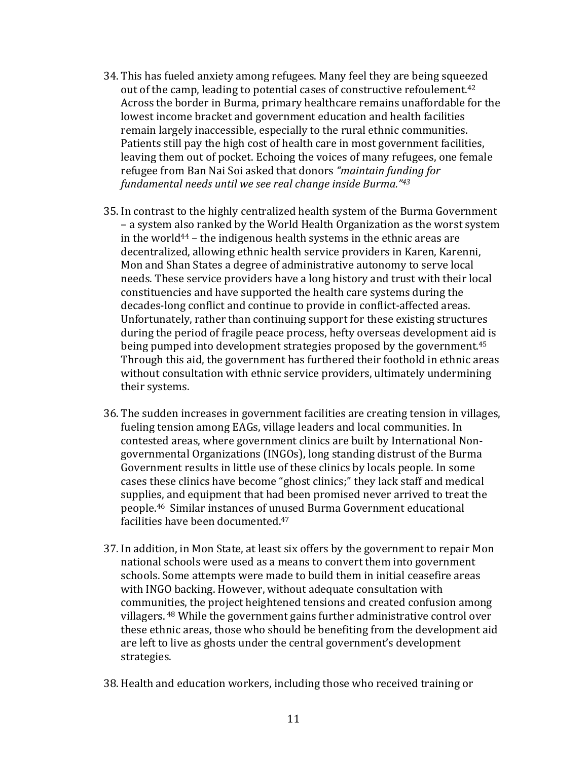- 34. This has fueled anxiety among refugees. Many feel they are being squeezed out of the camp, leading to potential cases of constructive refoulement.<sup>42</sup> Across the border in Burma, primary healthcare remains unaffordable for the lowest income bracket and government education and health facilities remain largely inaccessible, especially to the rural ethnic communities. Patients still pay the high cost of health care in most government facilities, leaving them out of pocket. Echoing the voices of many refugees, one female refugee from Ban Nai Soi asked that donors "maintain funding for *fundamental needs until we see real change inside Burma."43*
- 35. In contrast to the highly centralized health system of the Burma Government – a system also ranked by the World Health Organization as the worst system in the world<sup>44</sup> – the indigenous health systems in the ethnic areas are decentralized, allowing ethnic health service providers in Karen, Karenni, Mon and Shan States a degree of administrative autonomy to serve local needs. These service providers have a long history and trust with their local constituencies and have supported the health care systems during the decades-long conflict and continue to provide in conflict-affected areas. Unfortunately, rather than continuing support for these existing structures during the period of fragile peace process, hefty overseas development aid is being pumped into development strategies proposed by the government.<sup>45</sup> Through this aid, the government has furthered their foothold in ethnic areas without consultation with ethnic service providers, ultimately undermining their systems.
- 36. The sudden increases in government facilities are creating tension in villages, fueling tension among EAGs, village leaders and local communities. In contested areas, where government clinics are built by International Nongovernmental Organizations (INGOs), long standing distrust of the Burma Government results in little use of these clinics by locals people. In some cases these clinics have become "ghost clinics;" they lack staff and medical supplies, and equipment that had been promised never arrived to treat the people.<sup>46</sup> Similar instances of unused Burma Government educational facilities have been documented.<sup>47</sup>
- 37. In addition, in Mon State, at least six offers by the government to repair Mon national schools were used as a means to convert them into government schools. Some attempts were made to build them in initial ceasefire areas with INGO backing. However, without adequate consultation with communities, the project heightened tensions and created confusion among villagers. <sup>48</sup> While the government gains further administrative control over these ethnic areas, those who should be benefiting from the development aid are left to live as ghosts under the central government's development strategies.
- 38. Health and education workers, including those who received training or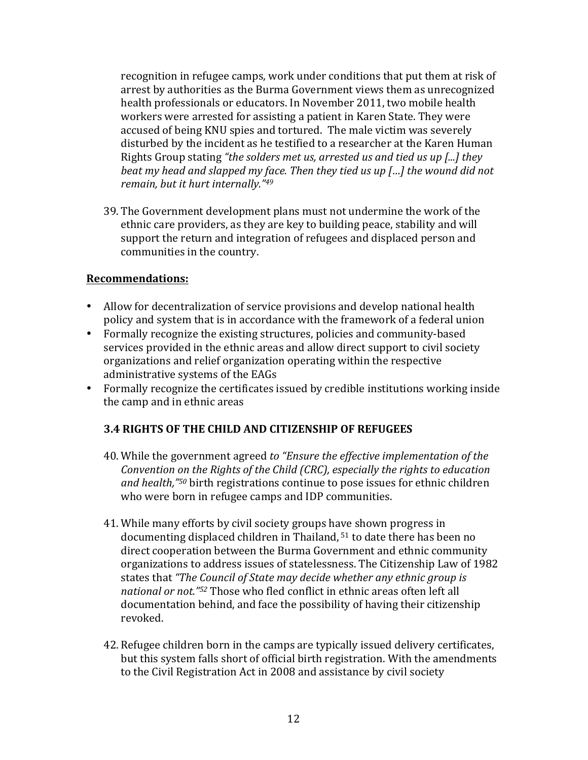recognition in refugee camps, work under conditions that put them at risk of arrest by authorities as the Burma Government views them as unrecognized health professionals or educators. In November 2011, two mobile health workers were arrested for assisting a patient in Karen State. They were accused of being KNU spies and tortured. The male victim was severely disturbed by the incident as he testified to a researcher at the Karen Human Rights Group stating "the solders met us, arrested us and tied us up [...] they *beat* my head and slapped my face. Then they tied us up [...] the wound did not *remain, but it hurt internally."<sup>49</sup>* 

39. The Government development plans must not undermine the work of the ethnic care providers, as they are key to building peace, stability and will support the return and integration of refugees and displaced person and communities in the country.

#### **Recommendations:**

- Allow for decentralization of service provisions and develop national health policy and system that is in accordance with the framework of a federal union
- Formally recognize the existing structures, policies and community-based services provided in the ethnic areas and allow direct support to civil society organizations and relief organization operating within the respective administrative systems of the EAGs
- Formally recognize the certificates issued by credible institutions working inside the camp and in ethnic areas

# **3.4 RIGHTS OF THE CHILD AND CITIZENSHIP OF REFUGEES**

- 40. While the government agreed to "Ensure the effective implementation of the *Convention on the Rights of the Child (CRC), especially the rights to education* and health,<sup>"50</sup> birth registrations continue to pose issues for ethnic children who were born in refugee camps and IDP communities.
- 41. While many efforts by civil society groups have shown progress in documenting displaced children in Thailand,  $51$  to date there has been no direct cooperation between the Burma Government and ethnic community organizations to address issues of statelessness. The Citizenship Law of 1982 states that "The Council of State may decide whether any ethnic group is *national or not."52* Those who fled conflict in ethnic areas often left all documentation behind, and face the possibility of having their citizenship revoked.
- 42. Refugee children born in the camps are typically issued delivery certificates, but this system falls short of official birth registration. With the amendments to the Civil Registration Act in 2008 and assistance by civil society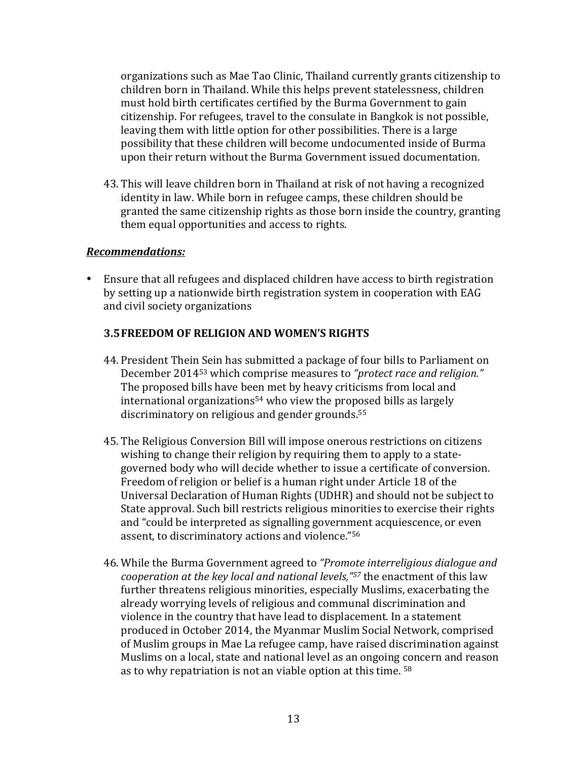organizations such as Mae Tao Clinic, Thailand currently grants citizenship to children born in Thailand. While this helps prevent statelessness, children must hold birth certificates certified by the Burma Government to gain citizenship. For refugees, travel to the consulate in Bangkok is not possible, leaving them with little option for other possibilities. There is a large possibility that these children will become undocumented inside of Burma upon their return without the Burma Government issued documentation.

43. This will leave children born in Thailand at risk of not having a recognized identity in law. While born in refugee camps, these children should be granted the same citizenship rights as those born inside the country, granting them equal opportunities and access to rights.

### *Recommendations:*

• Ensure that all refugees and displaced children have access to birth registration by setting up a nationwide birth registration system in cooperation with EAG and civil society organizations

# **3.5 FREEDOM OF RELIGION AND WOMEN'S RIGHTS**

- 44. President Thein Sein has submitted a package of four bills to Parliament on December 2014<sup>53</sup> which comprise measures to "*protect race and religion."* The proposed bills have been met by heavy criticisms from local and  $international organization  $s<sup>54</sup>$  who view the proposed bills as largely$ discriminatory on religious and gender grounds. $55$
- 45. The Religious Conversion Bill will impose onerous restrictions on citizens wishing to change their religion by requiring them to apply to a stategoverned body who will decide whether to issue a certificate of conversion. Freedom of religion or belief is a human right under Article 18 of the Universal Declaration of Human Rights (UDHR) and should not be subject to State approval. Such bill restricts religious minorities to exercise their rights and "could be interpreted as signalling government acquiescence, or even assent, to discriminatory actions and violence."<sup>56</sup>
- 46. While the Burma Government agreed to "Promote interreligious dialogue and *cooperation at the key local and national levels,"*<sup>57</sup> the enactment of this law further threatens religious minorities, especially Muslims, exacerbating the already worrying levels of religious and communal discrimination and violence in the country that have lead to displacement. In a statement produced in October 2014, the Myanmar Muslim Social Network, comprised of Muslim groups in Mae La refugee camp, have raised discrimination against Muslims on a local, state and national level as an ongoing concern and reason as to why repatriation is not an viable option at this time.  $58$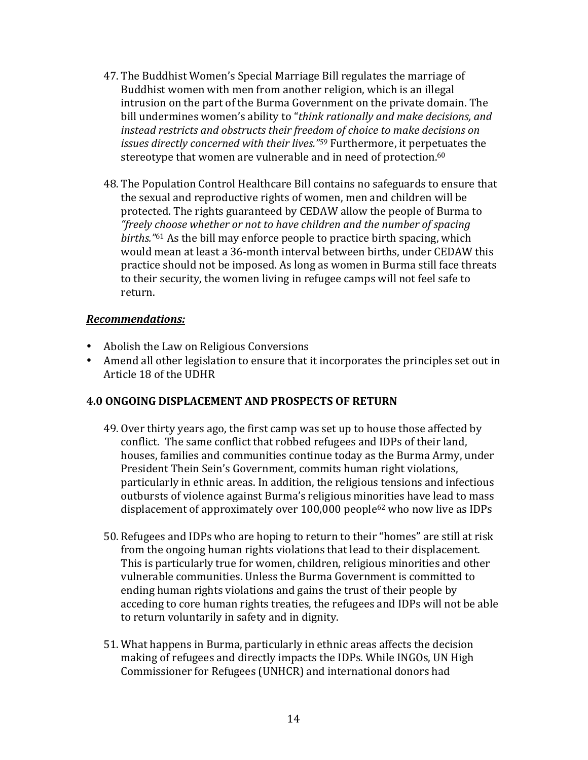- 47. The Buddhist Women's Special Marriage Bill regulates the marriage of Buddhist women with men from another religion, which is an illegal intrusion on the part of the Burma Government on the private domain. The bill undermines women's ability to "*think rationally and make decisions, and* instead restricts and obstructs their freedom of choice to make decisions on *issues directly concerned with their lives.*"<sup>59</sup> Furthermore, it perpetuates the stereotype that women are vulnerable and in need of protection.<sup>60</sup>
- 48. The Population Control Healthcare Bill contains no safeguards to ensure that the sexual and reproductive rights of women, men and children will be protected. The rights guaranteed by CEDAW allow the people of Burma to *"freely choose whether or not to have children and the number of spacing births.*"<sup>61</sup> As the bill may enforce people to practice birth spacing, which would mean at least a 36-month interval between births, under CEDAW this practice should not be imposed. As long as women in Burma still face threats to their security, the women living in refugee camps will not feel safe to return.

#### *Recommendations:*

- Abolish the Law on Religious Conversions
- Amend all other legislation to ensure that it incorporates the principles set out in Article 18 of the UDHR

# **4.0 ONGOING DISPLACEMENT AND PROSPECTS OF RETURN**

- 49. Over thirty years ago, the first camp was set up to house those affected by conflict. The same conflict that robbed refugees and IDPs of their land, houses, families and communities continue today as the Burma Army, under President Thein Sein's Government, commits human right violations, particularly in ethnic areas. In addition, the religious tensions and infectious outbursts of violence against Burma's religious minorities have lead to mass displacement of approximately over  $100,000$  people<sup>62</sup> who now live as IDPs
- 50. Refugees and IDPs who are hoping to return to their "homes" are still at risk from the ongoing human rights violations that lead to their displacement. This is particularly true for women, children, religious minorities and other vulnerable communities. Unless the Burma Government is committed to ending human rights violations and gains the trust of their people by acceding to core human rights treaties, the refugees and IDPs will not be able to return voluntarily in safety and in dignity.
- 51. What happens in Burma, particularly in ethnic areas affects the decision making of refugees and directly impacts the IDPs. While INGOs, UN High Commissioner for Refugees (UNHCR) and international donors had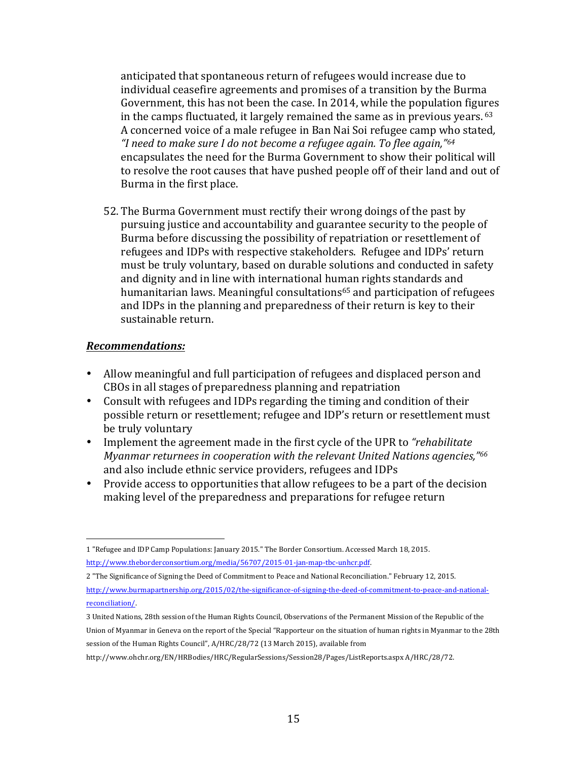anticipated that spontaneous return of refugees would increase due to individual ceasefire agreements and promises of a transition by the Burma Government, this has not been the case. In 2014, while the population figures in the camps fluctuated, it largely remained the same as in previous vears.  $63$ A concerned voice of a male refugee in Ban Nai Soi refugee camp who stated, *"I need to make sure I do not become a refugee again. To flee again,"64* encapsulates the need for the Burma Government to show their political will to resolve the root causes that have pushed people off of their land and out of Burma in the first place.

52. The Burma Government must rectify their wrong doings of the past by pursuing justice and accountability and guarantee security to the people of Burma before discussing the possibility of repatriation or resettlement of refugees and IDPs with respective stakeholders. Refugee and IDPs' return must be truly voluntary, based on durable solutions and conducted in safety and dignity and in line with international human rights standards and humanitarian laws. Meaningful consultations<sup>65</sup> and participation of refugees and IDPs in the planning and preparedness of their return is key to their sustainable return.

#### *Recommendations:*

 

- Allow meaningful and full participation of refugees and displaced person and CBOs in all stages of preparedness planning and repatriation
- Consult with refugees and IDPs regarding the timing and condition of their possible return or resettlement; refugee and IDP's return or resettlement must be truly voluntary
- Implement the agreement made in the first cycle of the UPR to *"rehabilitate Myanmar returnees in cooperation with the relevant United Nations agencies,*"<sup>66</sup> and also include ethnic service providers, refugees and IDPs
- Provide access to opportunities that allow refugees to be a part of the decision making level of the preparedness and preparations for refugee return

<sup>1 &</sup>quot;Refugee and IDP Camp Populations: January 2015." The Border Consortium. Accessed March 18, 2015. http://www.theborderconsortium.org/media/56707/2015-01-jan-map-tbc-unhcr.pdf.

<sup>2 &</sup>quot;The Significance of Signing the Deed of Commitment to Peace and National Reconciliation." February 12, 2015. http://www.burmapartnership.org/2015/02/the-significance-of-signing-the-deed-of-commitment-to-peace-and-nationalreconciliation/.

<sup>3</sup> United Nations, 28th session of the Human Rights Council, Observations of the Permanent Mission of the Republic of the Union of Myanmar in Geneva on the report of the Special "Rapporteur on the situation of human rights in Myanmar to the 28th session of the Human Rights Council", A/HRC/28/72 (13 March 2015), available from

http://www.ohchr.org/EN/HRBodies/HRC/RegularSessions/Session28/Pages/ListReports.aspx A/HRC/28/72.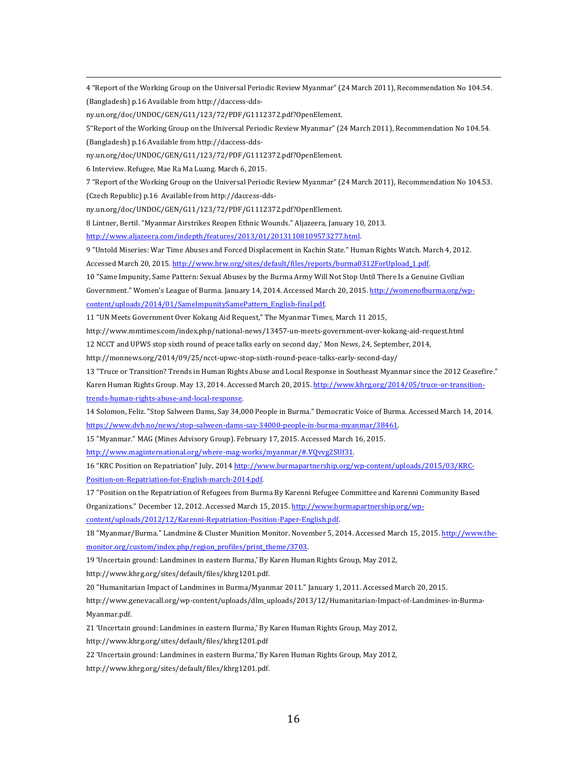4 "Report of the Working Group on the Universal Periodic Review Myanmar" (24 March 2011), Recommendation No 104.54. (Bangladesh) p.16 Available from http://daccess-dds-

<u> 1989 - Andrea San Andrea San Andrea San Andrea San Andrea San Andrea San Andrea San Andrea San Andrea San An</u>

ny.un.org/doc/UNDOC/GEN/G11/123/72/PDF/G1112372.pdf?OpenElement.

5"Report of the Working Group on the Universal Periodic Review Myanmar" (24 March 2011), Recommendation No 104.54.

(Bangladesh) p.16 Available from http://daccess-dds-

ny.un.org/doc/UNDOC/GEN/G11/123/72/PDF/G1112372.pdf?OpenElement.

6 Interview. Refugee, Mae Ra Ma Luang. March 6, 2015.

7 "Report of the Working Group on the Universal Periodic Review Myanmar" (24 March 2011), Recommendation No 104.53.

(Czech Republic) p.16 Available from http://daccess-dds-

ny.un.org/doc/UNDOC/GEN/G11/123/72/PDF/G1112372.pdf?OpenElement. 

8 Lintner, Bertil. "Myanmar Airstrikes Reopen Ethnic Wounds." Aljazeera, January 10, 2013.

http://www.aljazeera.com/indepth/features/2013/01/20131108109573277.html.

9 "Untold Miseries: War Time Abuses and Forced Displacement in Kachin State." Human Rights Watch. March 4, 2012.

Accessed March 20, 2015. http://www.hrw.org/sites/default/files/reports/burma0312ForUpload\_1.pdf.

10 "Same Impunity, Same Pattern: Sexual Abuses by the Burma Army Will Not Stop Until There Is a Genuine Civilian

Government." Women's League of Burma. January 14, 2014. Accessed March 20, 2015. http://womenofburma.org/wp-

content/uploads/2014/01/SameImpunitySamePattern\_English-final.pdf.

11 "UN Meets Government Over Kokang Aid Request," The Myanmar Times, March 11 2015,

http://www.mmtimes.com/index.php/national-news/13457-un-meets-government-over-kokang-aid-request.html

12 NCCT and UPWS stop sixth round of peace talks early on second day,' Mon News, 24, September, 2014,

http://monnews.org/2014/09/25/ncct-upwc-stop-sixth-round-peace-talks-early-second-day/

13 "Truce or Transition? Trends in Human Rights Abuse and Local Response in Southeast Myanmar since the 2012 Ceasefire."

Karen Human Rights Group. May 13, 2014. Accessed March 20, 2015. http://www.khrg.org/2014/05/truce-or-transitiontrends-human-rights-abuse-and-local-response.

14 Solomon, Feliz. "Stop Salween Dams, Say 34,000 People in Burma." Democratic Voice of Burma. Accessed March 14, 2014.

https://www.dvb.no/news/stop-salween-dams-say-34000-people-in-burma-myanmar/38461.

15 "Myanmar." MAG (Mines Advisory Group). February 17, 2015. Accessed March 16, 2015.

http://www.maginternational.org/where-mag-works/myanmar/#.VQvvg2SUf31.

16 "KRC Position on Repatriation" July, 2014 http://www.burmapartnership.org/wp-content/uploads/2015/03/KRC-Position-on-Repatriation-for-English-march-2014.pdf.

17 "Position on the Repatriation of Refugees from Burma By Karenni Refugee Committee and Karenni Community Based Organizations." December 12, 2012. Accessed March 15, 2015. http://www.burmapartnership.org/wp-

content/uploads/2012/12/Karenni-Repatriation-Position-Paper-English.pdf.

18 "Myanmar/Burma." Landmine & Cluster Munition Monitor. November 5, 2014. Accessed March 15, 2015. http://www.themonitor.org/custom/index.php/region\_profiles/print\_theme/3703.

19 'Uncertain ground: Landmines in eastern Burma,' By Karen Human Rights Group, May 2012,

http://www.khrg.org/sites/default/files/khrg1201.pdf.

20 "Humanitarian Impact of Landmines in Burma/Myanmar 2011." January 1, 2011. Accessed March 20, 2015.

http://www.genevacall.org/wp-content/uploads/dlm\_uploads/2013/12/Humanitarian-Impact-of-Landmines-in-Burma-Myanmar.pdf.

21 'Uncertain ground: Landmines in eastern Burma,' By Karen Human Rights Group, May 2012,

http://www.khrg.org/sites/default/files/khrg1201.pdf

22 'Uncertain ground: Landmines in eastern Burma,' By Karen Human Rights Group, May 2012,

http://www.khrg.org/sites/default/files/khrg1201.pdf.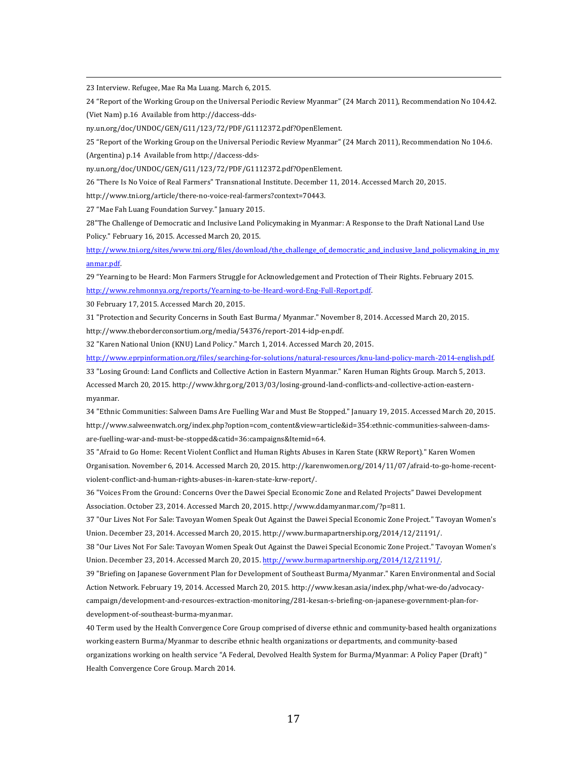23 Interview. Refugee, Mae Ra Ma Luang. March 6, 2015.

24 "Report of the Working Group on the Universal Periodic Review Myanmar" (24 March 2011), Recommendation No 104.42. (Viet Nam) p.16 Available from http://daccess-dds-

<u> 1989 - Andrea San Andrea San Andrea San Andrea San Andrea San Andrea San Andrea San Andrea San Andrea San An</u>

ny.un.org/doc/UNDOC/GEN/G11/123/72/PDF/G1112372.pdf?OpenElement.

25 "Report of the Working Group on the Universal Periodic Review Myanmar" (24 March 2011), Recommendation No 104.6.

(Argentina) p.14 Available from http://daccess-dds-

ny.un.org/doc/UNDOC/GEN/G11/123/72/PDF/G1112372.pdf?OpenElement. 

26 "There Is No Voice of Real Farmers" Transnational Institute. December 11, 2014. Accessed March 20, 2015.

http://www.tni.org/article/there-no-voice-real-farmers?context=70443.

27 "Mae Fah Luang Foundation Survey." January 2015.

28"The Challenge of Democratic and Inclusive Land Policymaking in Myanmar: A Response to the Draft National Land Use Policy." February 16, 2015. Accessed March 20, 2015.

http://www.tni.org/sites/www.tni.org/files/download/the\_challenge\_of\_democratic\_and\_inclusive\_land\_policymaking\_in\_my anmar.pdf.

29 "Yearning to be Heard: Mon Farmers Struggle for Acknowledgement and Protection of Their Rights. February 2015. http://www.rehmonnya.org/reports/Yearning-to-be-Heard-word-Eng-Full-Report.pdf.

30 February 17, 2015. Accessed March 20, 2015.

31 "Protection and Security Concerns in South East Burma/ Myanmar." November 8, 2014. Accessed March 20, 2015.

http://www.theborderconsortium.org/media/54376/report-2014-idp-en.pdf.

32 "Karen National Union (KNU) Land Policy." March 1, 2014. Accessed March 20, 2015.

http://www.eprpinformation.org/files/searching-for-solutions/natural-resources/knu-land-policy-march-2014-english.pdf.

33 "Losing Ground: Land Conflicts and Collective Action in Eastern Myanmar." Karen Human Rights Group. March 5, 2013. Accessed March 20, 2015. http://www.khrg.org/2013/03/losing-ground-land-conflicts-and-collective-action-easternmyanmar.

34 "Ethnic Communities: Salween Dams Are Fuelling War and Must Be Stopped." January 19, 2015. Accessed March 20, 2015. http://www.salweenwatch.org/index.php?option=com\_content&view=article&id=354:ethnic-communities-salween-damsare-fuelling-war-and-must-be-stopped&catid=36:campaigns&Itemid=64.

35 "Afraid to Go Home: Recent Violent Conflict and Human Rights Abuses in Karen State (KRW Report)." Karen Women Organisation. November 6, 2014. Accessed March 20, 2015. http://karenwomen.org/2014/11/07/afraid-to-go-home-recentviolent-conflict-and-human-rights-abuses-in-karen-state-krw-report/.

36 "Voices From the Ground: Concerns Over the Dawei Special Economic Zone and Related Projects" Dawei Development Association. October 23, 2014. Accessed March 20, 2015. http://www.ddamyanmar.com/?p=811.

37 "Our Lives Not For Sale: Tavoyan Women Speak Out Against the Dawei Special Economic Zone Project." Tavoyan Women's Union. December 23, 2014. Accessed March 20, 2015. http://www.burmapartnership.org/2014/12/21191/.

38 "Our Lives Not For Sale: Tavoyan Women Speak Out Against the Dawei Special Economic Zone Project." Tavoyan Women's Union. December 23, 2014. Accessed March 20, 2015. http://www.burmapartnership.org/2014/12/21191/.

39 "Briefing on Japanese Government Plan for Development of Southeast Burma/Myanmar." Karen Environmental and Social Action Network. February 19, 2014. Accessed March 20, 2015. http://www.kesan.asia/index.php/what-we-do/advocacycampaign/development-and-resources-extraction-monitoring/281-kesan-s-briefing-on-japanese-government-plan-fordevelopment-of-southeast-burma-myanmar.

40 Term used by the Health Convergence Core Group comprised of diverse ethnic and community-based health organizations working eastern Burma/Myanmar to describe ethnic health organizations or departments, and community-based organizations working on health service "A Federal, Devolved Health System for Burma/Myanmar: A Policy Paper (Draft)" Health Convergence Core Group. March 2014.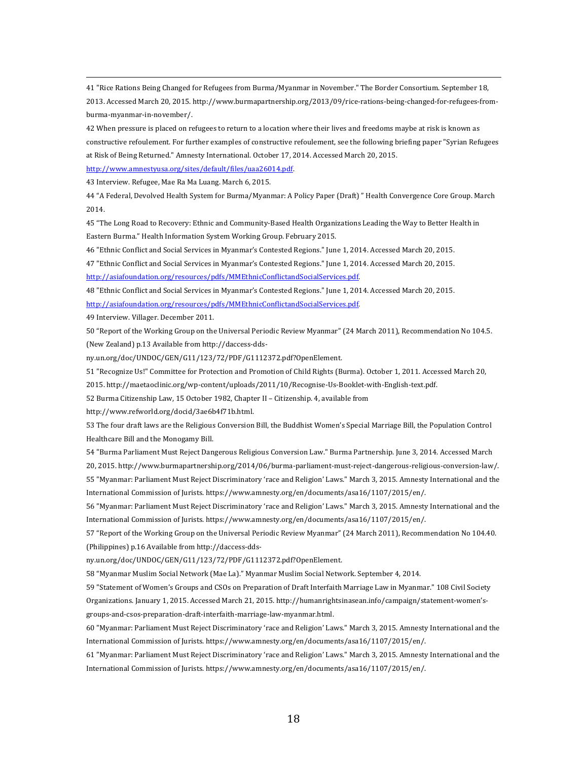41 "Rice Rations Being Changed for Refugees from Burma/Myanmar in November." The Border Consortium. September 18, 2013. Accessed March 20, 2015. http://www.burmapartnership.org/2013/09/rice-rations-being-changed-for-refugees-fromburma-myanmar-in-november/.

<u> 1989 - Andrea San Andrea San Andrea San Andrea San Andrea San Andrea San Andrea San Andrea San Andrea San An</u>

42 When pressure is placed on refugees to return to a location where their lives and freedoms maybe at risk is known as constructive refoulement. For further examples of constructive refoulement, see the following briefing paper "Syrian Refugees at Risk of Being Returned." Amnesty International. October 17, 2014. Accessed March 20, 2015.

http://www.amnestyusa.org/sites/default/files/uaa26014.pdf.

43 Interview. Refugee, Mae Ra Ma Luang. March 6, 2015.

44 "A Federal, Devolved Health System for Burma/Myanmar: A Policy Paper (Draft) " Health Convergence Core Group. March 2014.

45 "The Long Road to Recovery: Ethnic and Community-Based Health Organizations Leading the Way to Better Health in Eastern Burma." Health Information System Working Group. February 2015.

46 "Ethnic Conflict and Social Services in Myanmar's Contested Regions." June 1, 2014. Accessed March 20, 2015.

47 "Ethnic Conflict and Social Services in Myanmar's Contested Regions." June 1, 2014. Accessed March 20, 2015. http://asiafoundation.org/resources/pdfs/MMEthnicConflictandSocialServices.pdf.

48 "Ethnic Conflict and Social Services in Myanmar's Contested Regions." June 1, 2014. Accessed March 20, 2015.

http://asiafoundation.org/resources/pdfs/MMEthnicConflictandSocialServices.pdf.

49 Interview. Villager. December 2011.

50 "Report of the Working Group on the Universal Periodic Review Myanmar" (24 March 2011), Recommendation No 104.5. (New Zealand) p.13 Available from http://daccess-dds-

ny.un.org/doc/UNDOC/GEN/G11/123/72/PDF/G1112372.pdf?OpenElement.

51 "Recognize Us!" Committee for Protection and Promotion of Child Rights (Burma). October 1, 2011. Accessed March 20,

2015. http://maetaoclinic.org/wp-content/uploads/2011/10/Recognise-Us-Booklet-with-English-text.pdf.

52 Burma Citizenship Law, 15 October 1982, Chapter II - Citizenship. 4, available from

http://www.refworld.org/docid/3ae6b4f71b.html.

53 The four draft laws are the Religious Conversion Bill, the Buddhist Women's Special Marriage Bill, the Population Control Healthcare Bill and the Monogamy Bill.

54 "Burma Parliament Must Reject Dangerous Religious Conversion Law." Burma Partnership. June 3, 2014. Accessed March

20, 2015. http://www.burmapartnership.org/2014/06/burma-parliament-must-reject-dangerous-religious-conversion-law/.

55 "Myanmar: Parliament Must Reject Discriminatory 'race and Religion' Laws." March 3, 2015. Amnesty International and the International Commission of Jurists. https://www.amnesty.org/en/documents/asa16/1107/2015/en/.

56 "Myanmar: Parliament Must Reject Discriminatory 'race and Religion' Laws." March 3, 2015. Amnesty International and the International Commission of Jurists. https://www.amnesty.org/en/documents/asa16/1107/2015/en/.

57 "Report of the Working Group on the Universal Periodic Review Myanmar" (24 March 2011), Recommendation No 104.40. (Philippines) p.16 Available from http://daccess-dds-

ny.un.org/doc/UNDOC/GEN/G11/123/72/PDF/G1112372.pdf?OpenElement.

58 "Myanmar Muslim Social Network (Mae La)." Myanmar Muslim Social Network. September 4, 2014.

59 "Statement of Women's Groups and CSOs on Preparation of Draft Interfaith Marriage Law in Myanmar." 108 Civil Society

Organizations. January 1, 2015. Accessed March 21, 2015. http://humanrightsinasean.info/campaign/statement-women'sgroups-and-csos-preparation-draft-interfaith-marriage-law-myanmar.html.

60 "Myanmar: Parliament Must Reject Discriminatory 'race and Religion' Laws." March 3, 2015. Amnesty International and the International Commission of Jurists. https://www.amnesty.org/en/documents/asa16/1107/2015/en/.

61 "Myanmar: Parliament Must Reject Discriminatory 'race and Religion' Laws." March 3, 2015. Amnesty International and the International Commission of Jurists. https://www.amnesty.org/en/documents/asa16/1107/2015/en/.